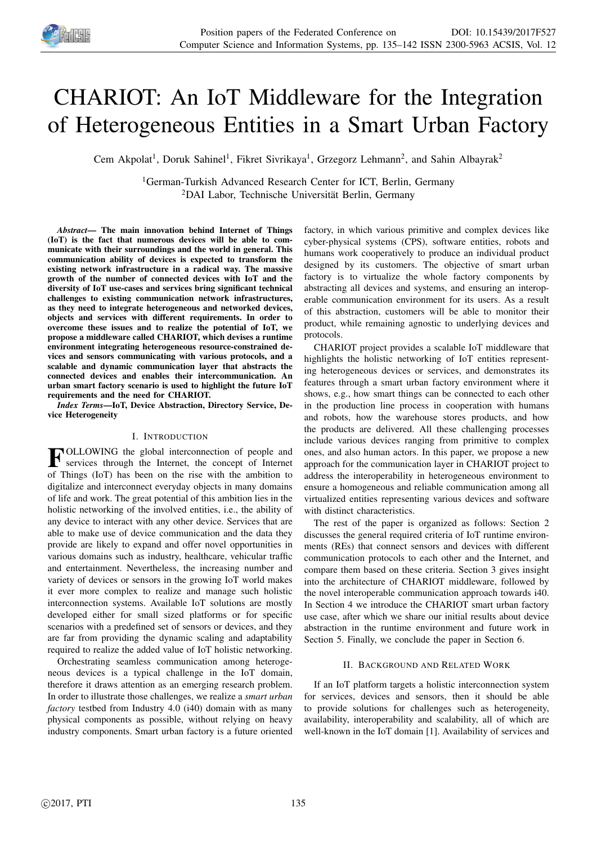

# CHARIOT: An IoT Middleware for the Integration of Heterogeneous Entities in a Smart Urban Factory

Cem Akpolat<sup>1</sup>, Doruk Sahinel<sup>1</sup>, Fikret Sivrikaya<sup>1</sup>, Grzegorz Lehmann<sup>2</sup>, and Sahin Albayrak<sup>2</sup>

<sup>1</sup>German-Turkish Advanced Research Center for ICT, Berlin, Germany <sup>2</sup>DAI Labor, Technische Universität Berlin, Germany

*Abstract*— The main innovation behind Internet of Things (IoT) is the fact that numerous devices will be able to communicate with their surroundings and the world in general. This communication ability of devices is expected to transform the existing network infrastructure in a radical way. The massive growth of the number of connected devices with IoT and the diversity of IoT use-cases and services bring significant technical challenges to existing communication network infrastructures, as they need to integrate heterogeneous and networked devices, objects and services with different requirements. In order to overcome these issues and to realize the potential of IoT, we propose a middleware called CHARIOT, which devises a runtime environment integrating heterogeneous resource-constrained devices and sensors communicating with various protocols, and a scalable and dynamic communication layer that abstracts the connected devices and enables their intercommunication. An urban smart factory scenario is used to highlight the future IoT requirements and the need for CHARIOT.

*Index Terms*—IoT, Device Abstraction, Directory Service, Device Heterogeneity

## I. INTRODUCTION

**FOLLOWING** the global interconnection of people and services through the Internet, the concept of Internet services through the Internet, the concept of Internet of Things (IoT) has been on the rise with the ambition to digitalize and interconnect everyday objects in many domains of life and work. The great potential of this ambition lies in the holistic networking of the involved entities, i.e., the ability of any device to interact with any other device. Services that are able to make use of device communication and the data they provide are likely to expand and offer novel opportunities in various domains such as industry, healthcare, vehicular traffic and entertainment. Nevertheless, the increasing number and variety of devices or sensors in the growing IoT world makes it ever more complex to realize and manage such holistic interconnection systems. Available IoT solutions are mostly developed either for small sized platforms or for specific scenarios with a predefined set of sensors or devices, and they are far from providing the dynamic scaling and adaptability required to realize the added value of IoT holistic networking.

Orchestrating seamless communication among heterogeneous devices is a typical challenge in the IoT domain, therefore it draws attention as an emerging research problem. In order to illustrate those challenges, we realize a *smart urban factory* testbed from Industry 4.0 (*i*40) domain with as many physical components as possible, without relying on heavy industry components. Smart urban factory is a future oriented

factory, in which various primitive and complex devices like cyber-physical systems (CPS), software entities, robots and humans work cooperatively to produce an individual product designed by its customers. The objective of smart urban factory is to virtualize the whole factory components by abstracting all devices and systems, and ensuring an interoperable communication environment for its users. As a result of this abstraction, customers will be able to monitor their product, while remaining agnostic to underlying devices and protocols.

CHARIOT project provides a scalable IoT middleware that highlights the holistic networking of IoT entities representing heterogeneous devices or services, and demonstrates its features through a smart urban factory environment where it shows, e.g., how smart things can be connected to each other in the production line process in cooperation with humans and robots, how the warehouse stores products, and how the products are delivered. All these challenging processes include various devices ranging from primitive to complex ones, and also human actors. In this paper, we propose a new approach for the communication layer in CHARIOT project to address the interoperability in heterogeneous environment to ensure a homogeneous and reliable communication among all virtualized entities representing various devices and software with distinct characteristics.

The rest of the paper is organized as follows: Section 2 discusses the general required criteria of IoT runtime environments (REs) that connect sensors and devices with different communication protocols to each other and the Internet, and compare them based on these criteria. Section 3 gives insight into the architecture of CHARIOT middleware, followed by the novel interoperable communication approach towards i40. In Section 4 we introduce the CHARIOT smart urban factory use case, after which we share our initial results about device abstraction in the runtime environment and future work in Section 5. Finally, we conclude the paper in Section 6.

## II. BACKGROUND AND RELATED WORK

If an IoT platform targets a holistic interconnection system for services, devices and sensors, then it should be able to provide solutions for challenges such as heterogeneity, availability, interoperability and scalability, all of which are well-known in the IoT domain [1]. Availability of services and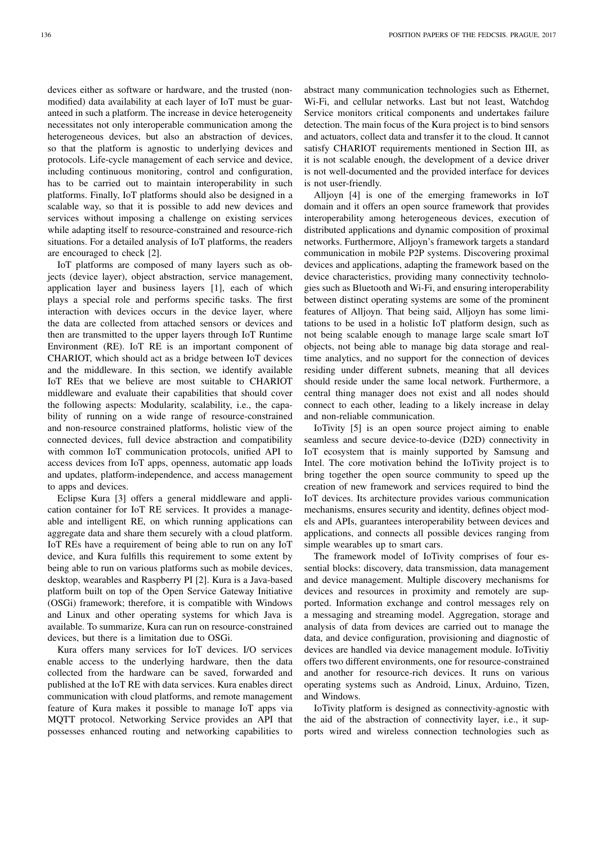devices either as software or hardware, and the trusted (nonmodified) data availability at each layer of IoT must be guaranteed in such a platform. The increase in device heterogeneity necessitates not only interoperable communication among the heterogeneous devices, but also an abstraction of devices, so that the platform is agnostic to underlying devices and protocols. Life-cycle management of each service and device, including continuous monitoring, control and configuration, has to be carried out to maintain interoperability in such platforms. Finally, IoT platforms should also be designed in a scalable way, so that it is possible to add new devices and services without imposing a challenge on existing services while adapting itself to resource-constrained and resource-rich situations. For a detailed analysis of IoT platforms, the readers are encouraged to check [2].

IoT platforms are composed of many layers such as objects (device layer), object abstraction, service management, application layer and business layers [1], each of which plays a special role and performs specific tasks. The first interaction with devices occurs in the device layer, where the data are collected from attached sensors or devices and then are transmitted to the upper layers through IoT Runtime Environment (RE). IoT RE is an important component of CHARIOT, which should act as a bridge between IoT devices and the middleware. In this section, we identify available IoT REs that we believe are most suitable to CHARIOT middleware and evaluate their capabilities that should cover the following aspects: Modularity, scalability, i.e., the capability of running on a wide range of resource-constrained and non-resource constrained platforms, holistic view of the connected devices, full device abstraction and compatibility with common IoT communication protocols, unified API to access devices from IoT apps, openness, automatic app loads and updates, platform-independence, and access management to apps and devices.

Eclipse Kura [3] offers a general middleware and application container for IoT RE services. It provides a manageable and intelligent RE, on which running applications can aggregate data and share them securely with a cloud platform. IoT REs have a requirement of being able to run on any IoT device, and Kura fulfills this requirement to some extent by being able to run on various platforms such as mobile devices, desktop, wearables and Raspberry PI [2]. Kura is a Java-based platform built on top of the Open Service Gateway Initiative (OSGi) framework; therefore, it is compatible with Windows and Linux and other operating systems for which Java is available. To summarize, Kura can run on resource-constrained devices, but there is a limitation due to OSGi.

Kura offers many services for IoT devices. I/O services enable access to the underlying hardware, then the data collected from the hardware can be saved, forwarded and published at the IoT RE with data services. Kura enables direct communication with cloud platforms, and remote management feature of Kura makes it possible to manage IoT apps via MQTT protocol. Networking Service provides an API that possesses enhanced routing and networking capabilities to abstract many communication technologies such as Ethernet, Wi-Fi, and cellular networks. Last but not least, Watchdog Service monitors critical components and undertakes failure detection. The main focus of the Kura project is to bind sensors and actuators, collect data and transfer it to the cloud. It cannot satisfy CHARIOT requirements mentioned in Section III, as it is not scalable enough, the development of a device driver is not well-documented and the provided interface for devices is not user-friendly.

Alljoyn [4] is one of the emerging frameworks in IoT domain and it offers an open source framework that provides interoperability among heterogeneous devices, execution of distributed applications and dynamic composition of proximal networks. Furthermore, Alljoyn's framework targets a standard communication in mobile P2P systems. Discovering proximal devices and applications, adapting the framework based on the device characteristics, providing many connectivity technologies such as Bluetooth and Wi-Fi, and ensuring interoperability between distinct operating systems are some of the prominent features of Alljoyn. That being said, Alljoyn has some limitations to be used in a holistic IoT platform design, such as not being scalable enough to manage large scale smart IoT objects, not being able to manage big data storage and realtime analytics, and no support for the connection of devices residing under different subnets, meaning that all devices should reside under the same local network. Furthermore, a central thing manager does not exist and all nodes should connect to each other, leading to a likely increase in delay and non-reliable communication.

IoTivity [5] is an open source project aiming to enable seamless and secure device-to-device (D2D) connectivity in IoT ecosystem that is mainly supported by Samsung and Intel. The core motivation behind the IoTivity project is to bring together the open source community to speed up the creation of new framework and services required to bind the IoT devices. Its architecture provides various communication mechanisms, ensures security and identity, defines object models and APIs, guarantees interoperability between devices and applications, and connects all possible devices ranging from simple wearables up to smart cars.

The framework model of IoTivity comprises of four essential blocks: discovery, data transmission, data management and device management. Multiple discovery mechanisms for devices and resources in proximity and remotely are supported. Information exchange and control messages rely on a messaging and streaming model. Aggregation, storage and analysis of data from devices are carried out to manage the data, and device configuration, provisioning and diagnostic of devices are handled via device management module. IoTivitiy offers two different environments, one for resource-constrained and another for resource-rich devices. It runs on various operating systems such as Android, Linux, Arduino, Tizen, and Windows.

IoTivity platform is designed as connectivity-agnostic with the aid of the abstraction of connectivity layer, i.e., it supports wired and wireless connection technologies such as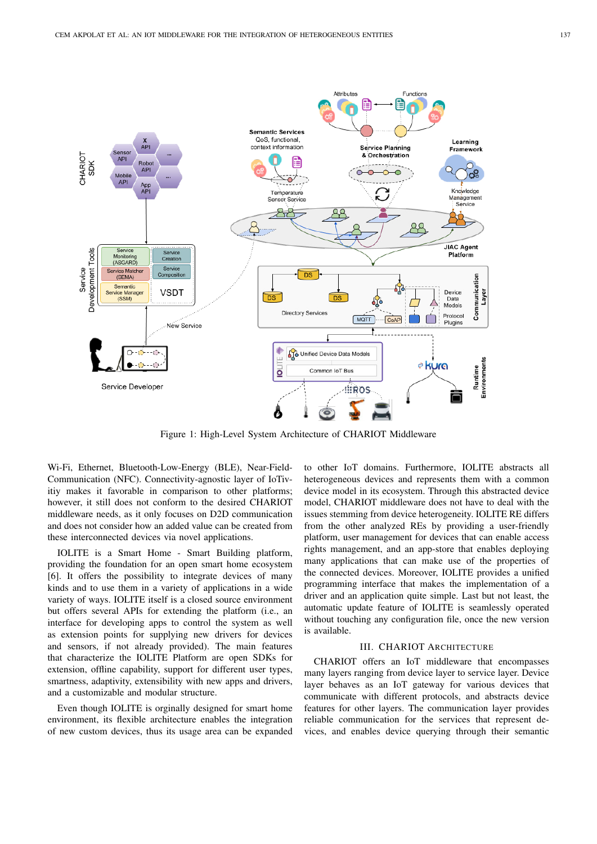

Figure 1: High-Level System Architecture of CHARIOT Middleware

Wi-Fi, Ethernet, Bluetooth-Low-Energy (BLE), Near-Field-Communication (NFC). Connectivity-agnostic layer of IoTivitiy makes it favorable in comparison to other platforms; however, it still does not conform to the desired CHARIOT middleware needs, as it only focuses on D2D communication and does not consider how an added value can be created from these interconnected devices via novel applications.

IOLITE is a Smart Home - Smart Building platform, providing the foundation for an open smart home ecosystem [6]. It offers the possibility to integrate devices of many kinds and to use them in a variety of applications in a wide variety of ways. IOLITE itself is a closed source environment but offers several APIs for extending the platform (i.e., an interface for developing apps to control the system as well as extension points for supplying new drivers for devices and sensors, if not already provided). The main features that characterize the IOLITE Platform are open SDKs for extension, offline capability, support for different user types, smartness, adaptivity, extensibility with new apps and drivers, and a customizable and modular structure.

Even though IOLITE is orginally designed for smart home environment, its flexible architecture enables the integration of new custom devices, thus its usage area can be expanded to other IoT domains. Furthermore, IOLITE abstracts all heterogeneous devices and represents them with a common device model in its ecosystem. Through this abstracted device model, CHARIOT middleware does not have to deal with the issues stemming from device heterogeneity. IOLITE RE differs from the other analyzed REs by providing a user-friendly platform, user management for devices that can enable access rights management, and an app-store that enables deploying many applications that can make use of the properties of the connected devices. Moreover, IOLITE provides a unified programming interface that makes the implementation of a driver and an application quite simple. Last but not least, the automatic update feature of IOLITE is seamlessly operated without touching any configuration file, once the new version is available.

## III. CHARIOT ARCHITECTURE

CHARIOT offers an IoT middleware that encompasses many layers ranging from device layer to service layer. Device layer behaves as an IoT gateway for various devices that communicate with different protocols, and abstracts device features for other layers. The communication layer provides reliable communication for the services that represent devices, and enables device querying through their semantic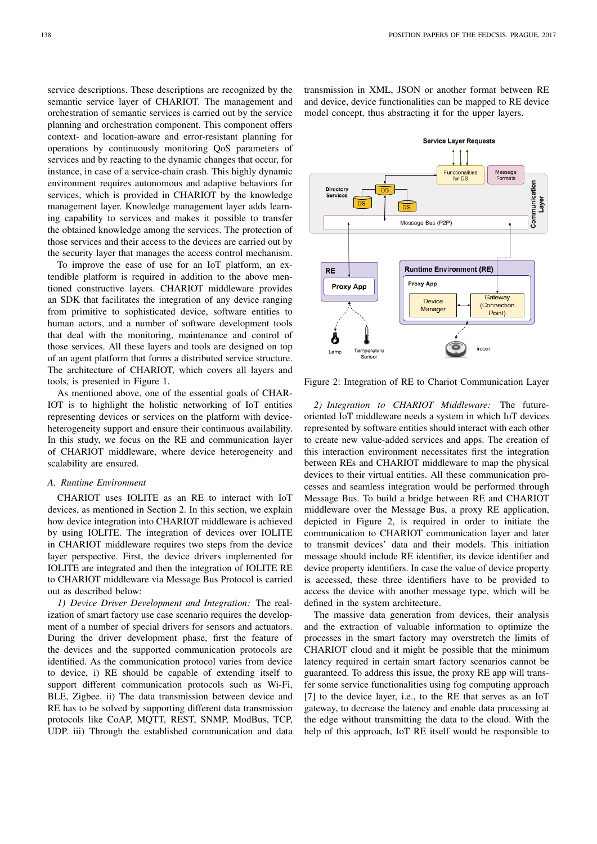service descriptions. These descriptions are recognized by the semantic service layer of CHARIOT. The management and orchestration of semantic services is carried out by the service planning and orchestration component. This component offers context- and location-aware and error-resistant planning for operations by continuously monitoring QoS parameters of services and by reacting to the dynamic changes that occur, for instance, in case of a service-chain crash. This highly dynamic environment requires autonomous and adaptive behaviors for services, which is provided in CHARIOT by the knowledge management layer. Knowledge management layer adds learning capability to services and makes it possible to transfer the obtained knowledge among the services. The protection of those services and their access to the devices are carried out by the security layer that manages the access control mechanism.

To improve the ease of use for an IoT platform, an extendible platform is required in addition to the above mentioned constructive layers. CHARIOT middleware provides an SDK that facilitates the integration of any device ranging from primitive to sophisticated device, software entities to human actors, and a number of software development tools that deal with the monitoring, maintenance and control of those services. All these layers and tools are designed on top of an agent platform that forms a distributed service structure. The architecture of CHARIOT, which covers all layers and tools, is presented in Figure 1.

As mentioned above, one of the essential goals of CHAR-IOT is to highlight the holistic networking of IoT entities representing devices or services on the platform with deviceheterogeneity support and ensure their continuous availability. In this study, we focus on the RE and communication layer of CHARIOT middleware, where device heterogeneity and scalability are ensured.

#### *A. Runtime Environment*

CHARIOT uses IOLITE as an RE to interact with IoT devices, as mentioned in Section 2. In this section, we explain how device integration into CHARIOT middleware is achieved by using IOLITE. The integration of devices over IOLITE in CHARIOT middleware requires two steps from the device layer perspective. First, the device drivers implemented for IOLITE are integrated and then the integration of IOLITE RE to CHARIOT middleware via Message Bus Protocol is carried out as described below:

*1) Device Driver Development and Integration:* The realization of smart factory use case scenario requires the development of a number of special drivers for sensors and actuators. During the driver development phase, first the feature of the devices and the supported communication protocols are identified. As the communication protocol varies from device to device, i) RE should be capable of extending itself to support different communication protocols such as Wi-Fi, BLE, Zigbee. ii) The data transmission between device and RE has to be solved by supporting different data transmission protocols like CoAP, MQTT, REST, SNMP, ModBus, TCP, UDP. iii) Through the established communication and data

transmission in XML, JSON or another format between RE and device, device functionalities can be mapped to RE device model concept, thus abstracting it for the upper layers.



Figure 2: Integration of RE to Chariot Communication Layer

*2) Integration to CHARIOT Middleware:* The futureoriented IoT middleware needs a system in which IoT devices represented by software entities should interact with each other to create new value-added services and apps. The creation of this interaction environment necessitates first the integration between REs and CHARIOT middleware to map the physical devices to their virtual entities. All these communication processes and seamless integration would be performed through Message Bus. To build a bridge between RE and CHARIOT middleware over the Message Bus, a proxy RE application, depicted in Figure 2, is required in order to initiate the communication to CHARIOT communication layer and later to transmit devices' data and their models. This initiation message should include RE identifier, its device identifier and device property identifiers. In case the value of device property is accessed, these three identifiers have to be provided to access the device with another message type, which will be defined in the system architecture.

The massive data generation from devices, their analysis and the extraction of valuable information to optimize the processes in the smart factory may overstretch the limits of CHARIOT cloud and it might be possible that the minimum latency required in certain smart factory scenarios cannot be guaranteed. To address this issue, the proxy RE app will transfer some service functionalities using fog computing approach [7] to the device layer, i.e., to the RE that serves as an IoT gateway, to decrease the latency and enable data processing at the edge without transmitting the data to the cloud. With the help of this approach, IoT RE itself would be responsible to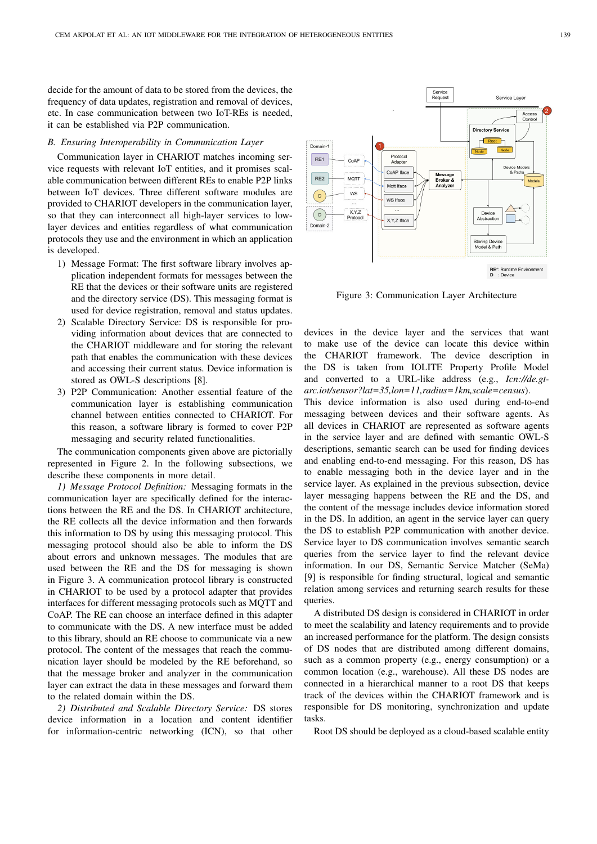decide for the amount of data to be stored from the devices, the frequency of data updates, registration and removal of devices, etc. In case communication between two IoT-REs is needed, it can be established via P2P communication.

## *B. Ensuring Interoperability in Communication Layer*

Communication layer in CHARIOT matches incoming service requests with relevant IoT entities, and it promises scalable communication between different REs to enable P2P links between IoT devices. Three different software modules are provided to CHARIOT developers in the communication layer, so that they can interconnect all high-layer services to lowlayer devices and entities regardless of what communication protocols they use and the environment in which an application is developed.

- 1) Message Format: The first software library involves application independent formats for messages between the RE that the devices or their software units are registered and the directory service (DS). This messaging format is used for device registration, removal and status updates.
- 2) Scalable Directory Service: DS is responsible for providing information about devices that are connected to the CHARIOT middleware and for storing the relevant path that enables the communication with these devices and accessing their current status. Device information is stored as OWL-S descriptions [8].
- 3) P2P Communication: Another essential feature of the communication layer is establishing communication channel between entities connected to CHARIOT. For this reason, a software library is formed to cover P2P messaging and security related functionalities.

The communication components given above are pictorially represented in Figure 2. In the following subsections, we describe these components in more detail.

*1) Message Protocol Definition:* Messaging formats in the communication layer are specifically defined for the interactions between the RE and the DS. In CHARIOT architecture, the RE collects all the device information and then forwards this information to DS by using this messaging protocol. This messaging protocol should also be able to inform the DS about errors and unknown messages. The modules that are used between the RE and the DS for messaging is shown in Figure 3. A communication protocol library is constructed in CHARIOT to be used by a protocol adapter that provides interfaces for different messaging protocols such as MQTT and CoAP. The RE can choose an interface defined in this adapter to communicate with the DS. A new interface must be added to this library, should an RE choose to communicate via a new protocol. The content of the messages that reach the communication layer should be modeled by the RE beforehand, so that the message broker and analyzer in the communication layer can extract the data in these messages and forward them to the related domain within the DS.

*2) Distributed and Scalable Directory Service:* DS stores device information in a location and content identifier for information-centric networking (ICN), so that other



Figure 3: Communication Layer Architecture

devices in the device layer and the services that want to make use of the device can locate this device within the CHARIOT framework. The device description in the DS is taken from IOLITE Property Profile Model and converted to a URL-like address (e.g., *Icn://de.gtarc.iot/sensor?lat=35,lon=11,radius=1km,scale=census*).

This device information is also used during end-to-end messaging between devices and their software agents. As all devices in CHARIOT are represented as software agents in the service layer and are defined with semantic OWL-S descriptions, semantic search can be used for finding devices and enabling end-to-end messaging. For this reason, DS has to enable messaging both in the device layer and in the service layer. As explained in the previous subsection, device layer messaging happens between the RE and the DS, and the content of the message includes device information stored in the DS. In addition, an agent in the service layer can query the DS to establish P2P communication with another device. Service layer to DS communication involves semantic search queries from the service layer to find the relevant device information. In our DS, Semantic Service Matcher (SeMa) [9] is responsible for finding structural, logical and semantic relation among services and returning search results for these queries.

A distributed DS design is considered in CHARIOT in order to meet the scalability and latency requirements and to provide an increased performance for the platform. The design consists of DS nodes that are distributed among different domains, such as a common property (e.g., energy consumption) or a common location (e.g., warehouse). All these DS nodes are connected in a hierarchical manner to a root DS that keeps track of the devices within the CHARIOT framework and is responsible for DS monitoring, synchronization and update tasks.

Root DS should be deployed as a cloud-based scalable entity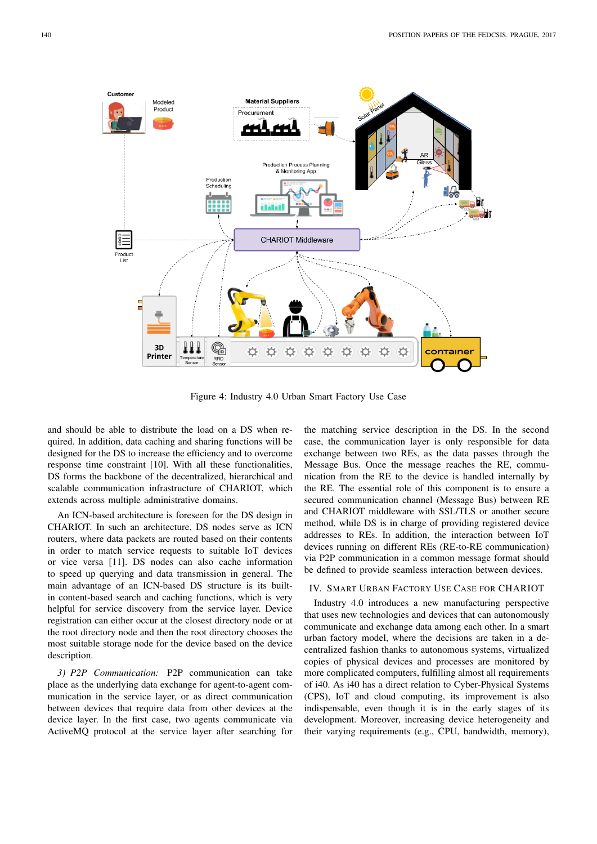

Figure 4: Industry 4.0 Urban Smart Factory Use Case

and should be able to distribute the load on a DS when required. In addition, data caching and sharing functions will be designed for the DS to increase the efficiency and to overcome response time constraint [10]. With all these functionalities, DS forms the backbone of the decentralized, hierarchical and scalable communication infrastructure of CHARIOT, which extends across multiple administrative domains.

An ICN-based architecture is foreseen for the DS design in CHARIOT. In such an architecture, DS nodes serve as ICN routers, where data packets are routed based on their contents in order to match service requests to suitable IoT devices or vice versa [11]. DS nodes can also cache information to speed up querying and data transmission in general. The main advantage of an ICN-based DS structure is its builtin content-based search and caching functions, which is very helpful for service discovery from the service layer. Device registration can either occur at the closest directory node or at the root directory node and then the root directory chooses the most suitable storage node for the device based on the device description.

*3) P2P Communication:* P2P communication can take place as the underlying data exchange for agent-to-agent communication in the service layer, or as direct communication between devices that require data from other devices at the device layer. In the first case, two agents communicate via ActiveMQ protocol at the service layer after searching for

the matching service description in the DS. In the second case, the communication layer is only responsible for data exchange between two REs, as the data passes through the Message Bus. Once the message reaches the RE, communication from the RE to the device is handled internally by the RE. The essential role of this component is to ensure a secured communication channel (Message Bus) between RE and CHARIOT middleware with SSL/TLS or another secure method, while DS is in charge of providing registered device addresses to REs. In addition, the interaction between IoT devices running on different REs (RE-to-RE communication) via P2P communication in a common message format should be defined to provide seamless interaction between devices.

## IV. SMART URBAN FACTORY USE CASE FOR CHARIOT

Industry 4.0 introduces a new manufacturing perspective that uses new technologies and devices that can autonomously communicate and exchange data among each other. In a smart urban factory model, where the decisions are taken in a decentralized fashion thanks to autonomous systems, virtualized copies of physical devices and processes are monitored by more complicated computers, fulfilling almost all requirements of i40. As i40 has a direct relation to Cyber-Physical Systems (CPS), IoT and cloud computing, its improvement is also indispensable, even though it is in the early stages of its development. Moreover, increasing device heterogeneity and their varying requirements (e.g., CPU, bandwidth, memory),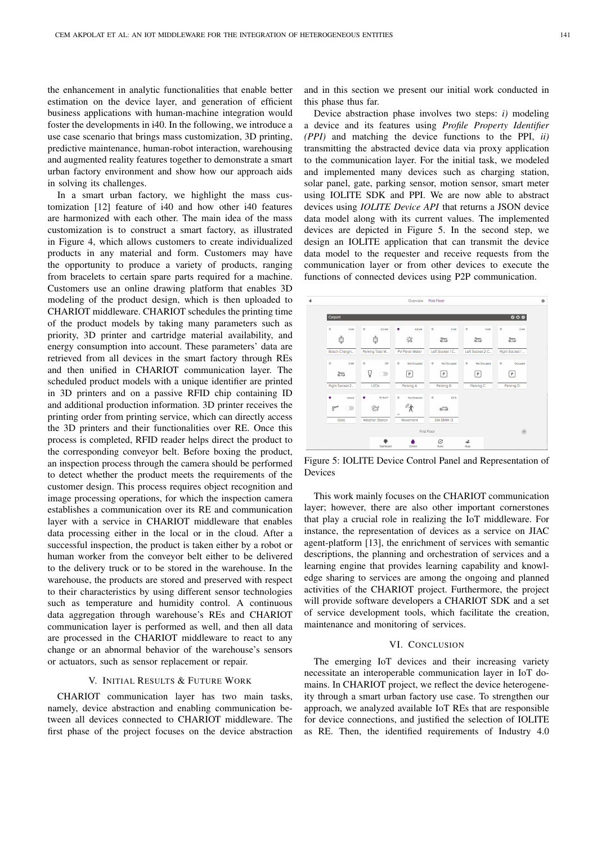the enhancement in analytic functionalities that enable better estimation on the device layer, and generation of efficient business applications with human-machine integration would foster the developments in i40. In the following, we introduce a use case scenario that brings mass customization, 3D printing, predictive maintenance, human-robot interaction, warehousing and augmented reality features together to demonstrate a smart urban factory environment and show how our approach aids in solving its challenges.

In a smart urban factory, we highlight the mass customization [12] feature of i40 and how other i40 features are harmonized with each other. The main idea of the mass customization is to construct a smart factory, as illustrated in Figure 4, which allows customers to create individualized products in any material and form. Customers may have the opportunity to produce a variety of products, ranging from bracelets to certain spare parts required for a machine. Customers use an online drawing platform that enables 3D modeling of the product design, which is then uploaded to CHARIOT middleware. CHARIOT schedules the printing time of the product models by taking many parameters such as priority, 3D printer and cartridge material availability, and energy consumption into account. These parameters' data are retrieved from all devices in the smart factory through REs and then unified in CHARIOT communication layer. The scheduled product models with a unique identifier are printed in 3D printers and on a passive RFID chip containing ID and additional production information. 3D printer receives the printing order from printing service, which can directly access the 3D printers and their functionalities over RE. Once this process is completed, RFID reader helps direct the product to the corresponding conveyor belt. Before boxing the product, an inspection process through the camera should be performed to detect whether the product meets the requirements of the customer design. This process requires object recognition and image processing operations, for which the inspection camera establishes a communication over its RE and communication layer with a service in CHARIOT middleware that enables data processing either in the local or in the cloud. After a successful inspection, the product is taken either by a robot or human worker from the conveyor belt either to be delivered to the delivery truck or to be stored in the warehouse. In the warehouse, the products are stored and preserved with respect to their characteristics by using different sensor technologies such as temperature and humidity control. A continuous data aggregation through warehouse's REs and CHARIOT communication layer is performed as well, and then all data are processed in the CHARIOT middleware to react to any change or an abnormal behavior of the warehouse's sensors or actuators, such as sensor replacement or repair.

#### V. INITIAL RESULTS & FUTURE WORK

CHARIOT communication layer has two main tasks, namely, device abstraction and enabling communication between all devices connected to CHARIOT middleware. The first phase of the project focuses on the device abstraction and in this section we present our initial work conducted in this phase thus far.

Device abstraction phase involves two steps: *i)* modeling a device and its features using *Profile Property Identifier (PPI)* and matching the device functions to the PPI, *ii)* transmitting the abstracted device data via proxy application to the communication layer. For the initial task, we modeled and implemented many devices such as charging station, solar panel, gate, parking sensor, motion sensor, smart meter using IOLITE SDK and PPI. We are now able to abstract devices using *IOLITE Device API* that returns a JSON device data model along with its current values. The implemented devices are depicted in Figure 5. In the second step, we design an IOLITE application that can transmit the device data model to the requester and receive requests from the communication layer or from other devices to execute the functions of connected devices using P2P communication.



Figure 5: IOLITE Device Control Panel and Representation of Devices

This work mainly focuses on the CHARIOT communication layer; however, there are also other important cornerstones that play a crucial role in realizing the IoT middleware. For instance, the representation of devices as a service on JIAC agent-platform [13], the enrichment of services with semantic descriptions, the planning and orchestration of services and a learning engine that provides learning capability and knowledge sharing to services are among the ongoing and planned activities of the CHARIOT project. Furthermore, the project will provide software developers a CHARIOT SDK and a set of service development tools, which facilitate the creation, maintenance and monitoring of services.

#### VI. CONCLUSION

The emerging IoT devices and their increasing variety necessitate an interoperable communication layer in IoT domains. In CHARIOT project, we reflect the device heterogeneity through a smart urban factory use case. To strengthen our approach, we analyzed available IoT REs that are responsible for device connections, and justified the selection of IOLITE as RE. Then, the identified requirements of Industry 4.0